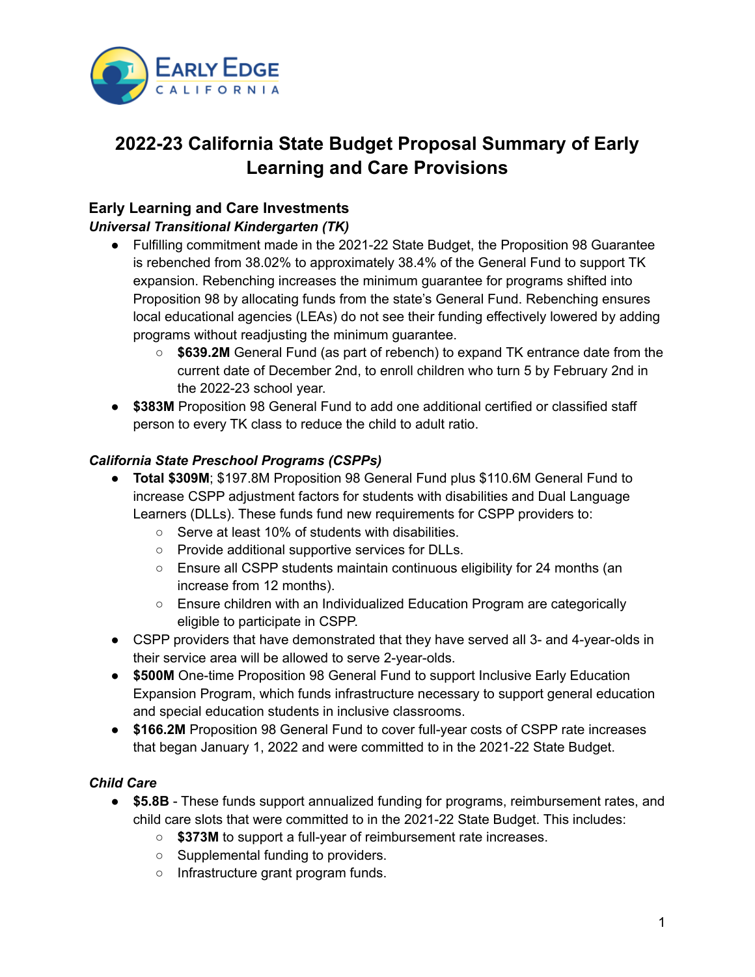

# **2022-23 California State Budget Proposal Summary of Early Learning and Care Provisions**

## **Early Learning and Care Investments**

#### *Universal Transitional Kindergarten (TK)*

- Fulfilling commitment made in the 2021-22 State Budget, the Proposition 98 Guarantee is rebenched from 38.02% to approximately 38.4% of the General Fund to support TK expansion. Rebenching increases the minimum guarantee for programs shifted into Proposition 98 by allocating funds from the state's General Fund. Rebenching ensures local educational agencies (LEAs) do not see their funding effectively lowered by adding programs without readjusting the minimum guarantee.
	- **\$639.2M** General Fund (as part of rebench) to expand TK entrance date from the current date of December 2nd, to enroll children who turn 5 by February 2nd in the 2022-23 school year.
- **\$383M** Proposition 98 General Fund to add one additional certified or classified staff person to every TK class to reduce the child to adult ratio.

#### *California State Preschool Programs (CSPPs)*

- **Total \$309M**; \$197.8M Proposition 98 General Fund plus \$110.6M General Fund to increase CSPP adjustment factors for students with disabilities and Dual Language Learners (DLLs). These funds fund new requirements for CSPP providers to:
	- Serve at least 10% of students with disabilities.
	- Provide additional supportive services for DLLs.
	- $\circ$  Ensure all CSPP students maintain continuous eligibility for 24 months (an increase from 12 months).
	- Ensure children with an Individualized Education Program are categorically eligible to participate in CSPP.
- CSPP providers that have demonstrated that they have served all 3- and 4-year-olds in their service area will be allowed to serve 2-year-olds.
- **\$500M** One-time Proposition 98 General Fund to support Inclusive Early Education Expansion Program, which funds infrastructure necessary to support general education and special education students in inclusive classrooms.
- **\$166.2M** Proposition 98 General Fund to cover full-year costs of CSPP rate increases that began January 1, 2022 and were committed to in the 2021-22 State Budget.

### *Child Care*

- **\$5.8B** These funds support annualized funding for programs, reimbursement rates, and child care slots that were committed to in the 2021-22 State Budget. This includes:
	- **\$373M** to support a full-year of reimbursement rate increases.
	- Supplemental funding to providers.
	- Infrastructure grant program funds.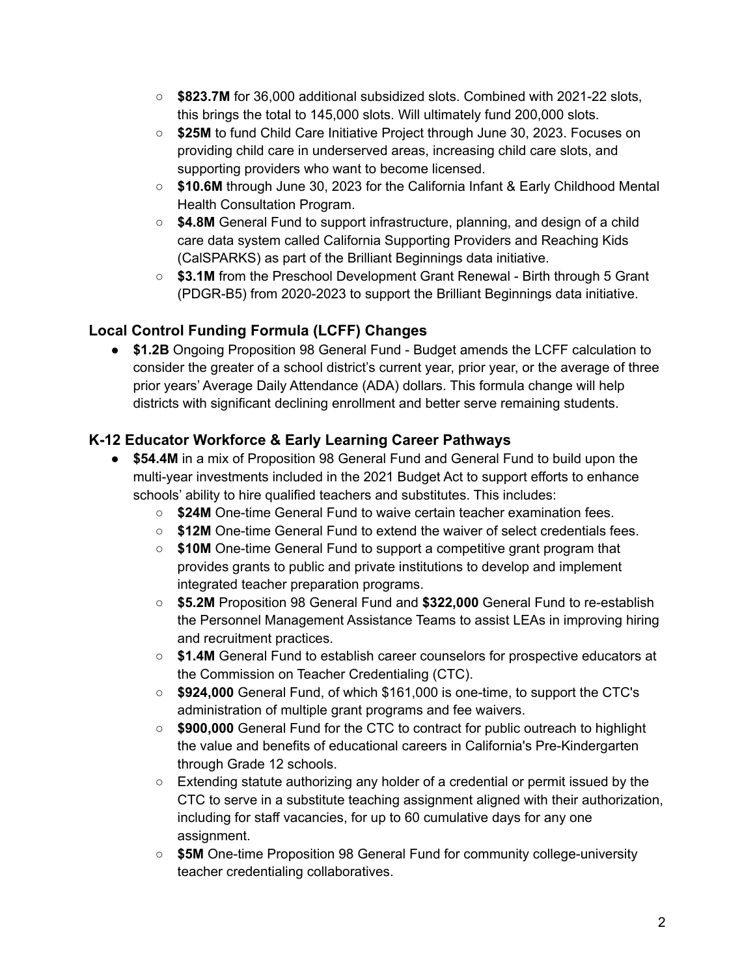- **\$823.7M** for 36,000 additional subsidized slots. Combined with 2021-22 slots, this brings the total to 145,000 slots. Will ultimately fund 200,000 slots.
- **\$25M** to fund Child Care Initiative Project through June 30, 2023. Focuses on providing child care in underserved areas, increasing child care slots, and supporting providers who want to become licensed.
- **\$10.6M** through June 30, 2023 for the California Infant & Early Childhood Mental Health Consultation Program.
- **\$4.8M** General Fund to support infrastructure, planning, and design of a child care data system called California Supporting Providers and Reaching Kids (CalSPARKS) as part of the Brilliant Beginnings data initiative.
- **\$3.1M** from the Preschool Development Grant Renewal Birth through 5 Grant (PDGR-B5) from 2020-2023 to support the Brilliant Beginnings data initiative.

## **Local Control Funding Formula (LCFF) Changes**

● **\$1.2B** Ongoing Proposition 98 General Fund - Budget amends the LCFF calculation to consider the greater of a school district's current year, prior year, or the average of three prior years' Average Daily Attendance (ADA) dollars. This formula change will help districts with significant declining enrollment and better serve remaining students.

## **K-12 Educator Workforce & Early Learning Career Pathways**

- **\$54.4M** in a mix of Proposition 98 General Fund and General Fund to build upon the multi-year investments included in the 2021 Budget Act to support efforts to enhance schools' ability to hire qualified teachers and substitutes. This includes:
	- **\$24M** One-time General Fund to waive certain teacher examination fees.
	- **\$12M** One-time General Fund to extend the waiver of select credentials fees.
	- **\$10M** One-time General Fund to support a competitive grant program that provides grants to public and private institutions to develop and implement integrated teacher preparation programs.
	- **\$5.2M** Proposition 98 General Fund and **\$322,000** General Fund to re-establish the Personnel Management Assistance Teams to assist LEAs in improving hiring and recruitment practices.
	- **\$1.4M** General Fund to establish career counselors for prospective educators at the Commission on Teacher Credentialing (CTC).
	- **\$924,000** General Fund, of which \$161,000 is one-time, to support the CTC's administration of multiple grant programs and fee waivers.
	- **\$900,000** General Fund for the CTC to contract for public outreach to highlight the value and benefits of educational careers in California's Pre-Kindergarten through Grade 12 schools.
	- $\circ$  Extending statute authorizing any holder of a credential or permit issued by the CTC to serve in a substitute teaching assignment aligned with their authorization, including for staff vacancies, for up to 60 cumulative days for any one assignment.
	- **\$5M** One-time Proposition 98 General Fund for community college-university teacher credentialing collaboratives.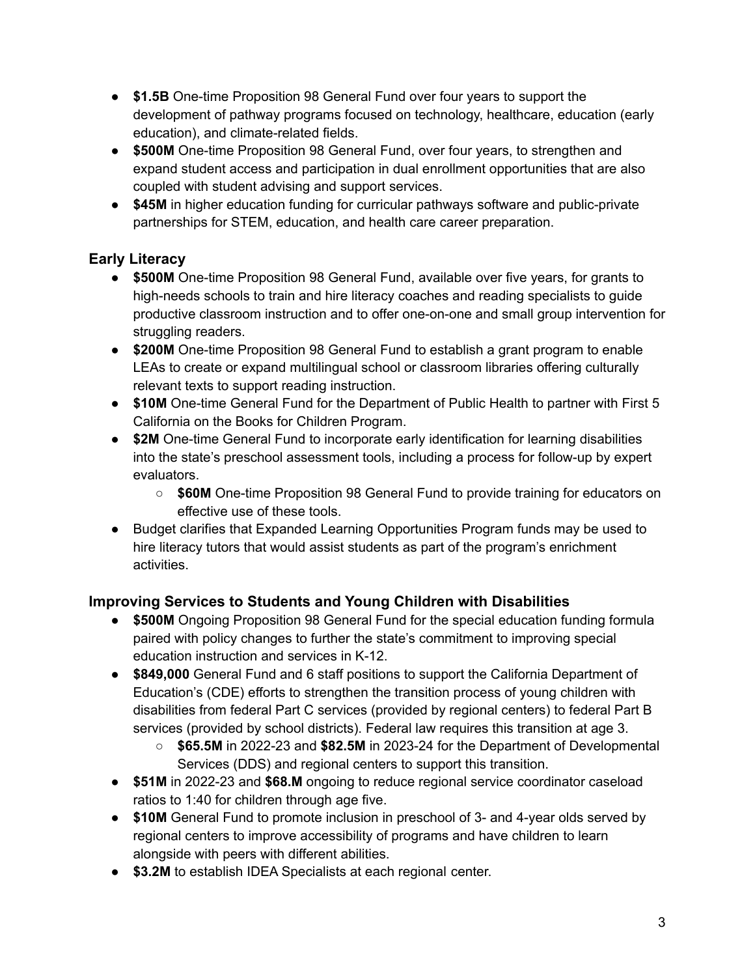- **\$1.5B** One-time Proposition 98 General Fund over four years to support the development of pathway programs focused on technology, healthcare, education (early education), and climate-related fields.
- **\$500M** One-time Proposition 98 General Fund, over four years, to strengthen and expand student access and participation in dual enrollment opportunities that are also coupled with student advising and support services.
- **\$45M** in higher education funding for curricular pathways software and public-private partnerships for STEM, education, and health care career preparation.

# **Early Literacy**

- **\$500M** One-time Proposition 98 General Fund, available over five years, for grants to high-needs schools to train and hire literacy coaches and reading specialists to guide productive classroom instruction and to offer one-on-one and small group intervention for struggling readers.
- **\$200M** One-time Proposition 98 General Fund to establish a grant program to enable LEAs to create or expand multilingual school or classroom libraries offering culturally relevant texts to support reading instruction.
- **\$10M** One-time General Fund for the Department of Public Health to partner with First 5 California on the Books for Children Program.
- **\$2M** One-time General Fund to incorporate early identification for learning disabilities into the state's preschool assessment tools, including a process for follow-up by expert evaluators.
	- **\$60M** One-time Proposition 98 General Fund to provide training for educators on effective use of these tools.
- Budget clarifies that Expanded Learning Opportunities Program funds may be used to hire literacy tutors that would assist students as part of the program's enrichment activities.

### **Improving Services to Students and Young Children with Disabilities**

- **\$500M** Ongoing Proposition 98 General Fund for the special education funding formula paired with policy changes to further the state's commitment to improving special education instruction and services in K-12.
- **\$849,000** General Fund and 6 staff positions to support the California Department of Education's (CDE) efforts to strengthen the transition process of young children with disabilities from federal Part C services (provided by regional centers) to federal Part B services (provided by school districts). Federal law requires this transition at age 3.
	- **\$65.5M** in 2022-23 and **\$82.5M** in 2023-24 for the Department of Developmental Services (DDS) and regional centers to support this transition.
- **\$51M** in 2022-23 and **\$68.M** ongoing to reduce regional service coordinator caseload ratios to 1:40 for children through age five.
- **\$10M** General Fund to promote inclusion in preschool of 3- and 4-year olds served by regional centers to improve accessibility of programs and have children to learn alongside with peers with different abilities.
- **\$3.2M** to establish IDEA Specialists at each regional center.